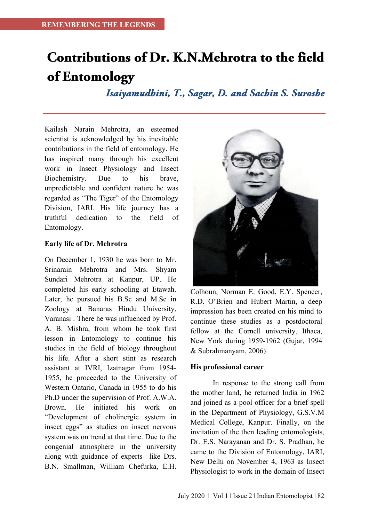# Contributions of Dr. K.N.Mehrotra to the field of Entomology

Isaiyamudhini, T., Sagar, D. and Sachin S. Suroshe

Kailash Narain Mehrotra, an esteemed scientist is acknowledged by his inevitable contributions in the field of entomology. He has inspired many through his excellent work in Insect Physiology and Insect Biochemistry. Due to his brave, unpredictable and confident nature he was regarded as "The Tiger" of the Entomology Division, IARI. His life journey has a truthful dedication to the field of Entomology.

#### **Early life of Dr. Mehrotra**

On December 1, 1930 he was born to Mr. Srinarain Mehrotra and Mrs. Shyam Sundari Mehrotra at Kanpur, UP. He completed his early schooling at Etawah. Later, he pursued his B.Sc and M.Sc in Zoology at Banaras Hindu University, Varanasi . There he was influenced by Prof. A. B. Mishra, from whom he took first lesson in Entomology to continue his studies in the field of biology throughout his life. After a short stint as research assistant at IVRI, Izatnagar from 1954- 1955, he proceeded to the University of Western Ontario, Canada in 1955 to do his Ph.D under the supervision of Prof. A.W.A. Brown. He initiated his work on "Development of cholinergic system in insect eggs" as studies on insect nervous system was on trend at that time. Due to the congenial atmosphere in the university along with guidance of experts like Drs. B.N. Smallman, William Chefurka, E.H.



Colhoun, Norman E. Good, E.Y. Spencer, R.D. O'Brien and Hubert Martin, a deep impression has been created on his mind to continue these studies as a postdoctoral fellow at the Cornell university, Ithaca, New York during 1959-1962 (Gujar, 1994 & Subrahmanyam, 2006)

#### **His professional career**

In response to the strong call from the mother land, he returned India in 1962 and joined as a pool officer for a brief spell in the Department of Physiology, G.S.V.M Medical College, Kanpur. Finally, on the invitation of the then leading entomologists, Dr. E.S. Narayanan and Dr. S. Pradhan, he came to the Division of Entomology, IARI, New Delhi on November 4, 1963 as Insect Physiologist to work in the domain of Insect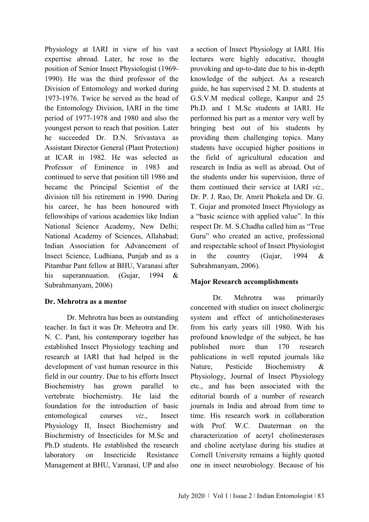Physiology at IARI in view of his vast expertise abroad. Later, he rose to the position of Senior Insect Physiologist (1969- 1990). He was the third professor of the Division of Entomology and worked during 1973-1976. Twice he served as the head of the Entomology Division, IARI in the time period of 1977-1978 and 1980 and also the youngest person to reach that position. Later he succeeded Dr. D.N. Srivastava as Assistant Director General (Plant Protection) at ICAR in 1982. He was selected as Professor of Eminence in 1983 and continued to serve that position till 1986 and became the Principal Scientist of the division till his retirement in 1990. During his career, he has been honoured with fellowships of various academies like Indian National Science Academy, New Delhi; National Academy of Sciences, Allahabad; Indian Association for Advancement of Insect Science, Ludhiana, Punjab and as a Pitambar Pant fellow at BHU, Varanasi after his superannuation. (Gujar, 1994 & Subrahmanyam, 2006)

## **Dr. Mehrotra as a mentor**

Dr. Mehrotra has been as outstanding teacher. In fact it was Dr. Mehrotra and Dr. N. C. Pant, his contemporary together has established Insect Physiology teaching and research at IARI that had helped in the development of vast human resource in this field in our country. Due to his efforts Insect Biochemistry has grown parallel to vertebrate biochemistry. He laid the foundation for the introduction of basic entomological courses *viz*., Insect Physiology II, Insect Biochemistry and Biochemistry of Insecticides for M.Sc and Ph.D students. He established the research laboratory on Insecticide Resistance Management at BHU, Varanasi, UP and also a section of Insect Physiology at IARI. His lectures were highly educative, thought provoking and up-to-date due to his in-depth knowledge of the subject. As a research guide, he has supervised 2 M. D. students at G.S.V.M medical college, Kanpur and 25 Ph.D. and 1 M.Sc students at IARI. He performed his part as a mentor very well by bringing best out of his students by providing them challenging topics. Many students have occupied higher positions in the field of agricultural education and research in India as well as abroad. Out of the students under his supervision, three of them continued their service at IARI *viz.,*  Dr. P. J. Rao, Dr. Amrit Phokela and Dr. G. T. Gujar and promoted Insect Physiology as a "basic science with applied value". In this respect Dr. M. S.Chadha called him as "True Guru" who created an active, professional and respectable school of Insect Physiologist in the country (Gujar, 1994 & Subrahmanyam, 2006).

## **Major Research accomplishments**

Dr. Mehrotra was primarily concerned with studies on insect cholinergic system and effect of anticholinesterases from his early years till 1980. With his profound knowledge of the subject, he has published more than 170 research publications in well reputed journals like Nature, Pesticide Biochemistry & Physiology, Journal of Insect Physiology etc., and has been associated with the editorial boards of a number of research journals in India and abroad from time to time. His research work in collaboration with Prof. W.C. Dauterman on the characterization of acetyl cholinesterases and choline acetylase during his studies at Cornell University remains a highly quoted one in insect neurobiology. Because of his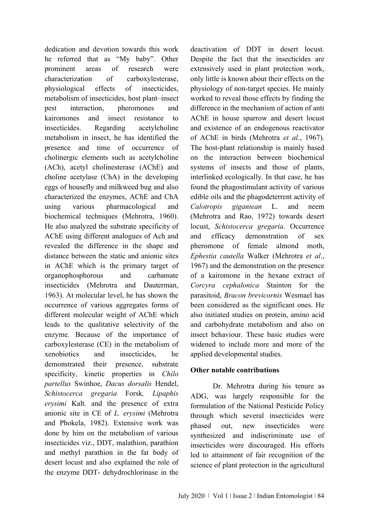dedication and devotion towards this work he referred that as "My baby". Other prominent areas of research were characterization of carboxylesterase, physiological effects of insecticides, metabolism of insecticides, host plant–insect pest interaction, pheromones and kairomones and insect resistance to insecticides. Regarding acetylcholine metabolism in insect, he has identified the presence and time of occurrence of cholinergic elements such as acetylcholine (ACh), acetyl cholinesterase (AChE) and choline acetylase (ChA) in the developing eggs of housefly and milkweed bug and also characterized the enzymes, AChE and ChA using various pharmacological and biochemical techniques (Mehrotra, 1960). He also analyzed the substrate specificity of AChE using different analogues of Ach and revealed the difference in the shape and distance between the static and anionic sites in AChE which is the primary target of organophosphorous and carbamate insecticides (Mehrotra and Dauterman, 1963). At molecular level, he has shown the occurrence of various aggregates forms of different molecular weight of AChE which leads to the qualitative selectivity of the enzyme. Because of the importance of carboxylesterase (CE) in the metabolism of xenobiotics and insecticides, he demonstrated their presence, substrate specificity, kinetic properties in *Chilo partellus* Swinhoe, *Dacus dorsalis* Hendel, *Schistocerca gregaria* Forsk*, Lipaphis erysimi* Kalt. and the presence of extra anionic site in CE of *L. erysimi* (Mehrotra and Phokela, 1982). Extensive work was done by him on the metabolism of various insecticides viz., DDT, malathion, parathion and methyl parathion in the fat body of desert locust and also explained the role of the enzyme DDT- dehydrochlorinase in the

deactivation of DDT in desert locust. Despite the fact that the insecticides are extensively used in plant protection work, only little is known about their effects on the physiology of non-target species. He mainly worked to reveal those effects by finding the difference in the mechanism of action of anti AChE in house sparrow and desert locust and existence of an endogenous reactivator of AChE in birds (Mehrotra *et al*., 1967). The host-plant relationship is mainly based on the interaction between biochemical systems of insects and those of plants, interlinked ecologically. In that case, he has found the phagostimulant activity of various edible oils and the phagodeterrent activity of *Calotropis gigantean* L. and neem (Mehrotra and Rao, 1972) towards desert locust, *Schistocerca gregaria.* Occurrence and efficacy demonstration of sex pheromone of female almond moth, *Ephestia cautella* Walker (Mehrotra *et al*., 1967) and the demonstration on the presence of a kairomone in the hexane extract of *Corcyra cephalonica* Stainton for the parasitoid, *Bracon brevicornis* Wesmael has been considered as the significant ones. He also initiated studies on protein, amino acid and carbohydrate metabolism and also on insect behaviour. These basic studies were widened to include more and more of the applied developmental studies.

## **Other notable contributions**

Dr. Mehrotra during his tenure as ADG, was largely responsible for the formulation of the National Pesticide Policy through which several insecticides were phased out, new insecticides were synthesized and indiscriminate use of insecticides were discouraged. His efforts led to attainment of fair recognition of the science of plant protection in the agricultural